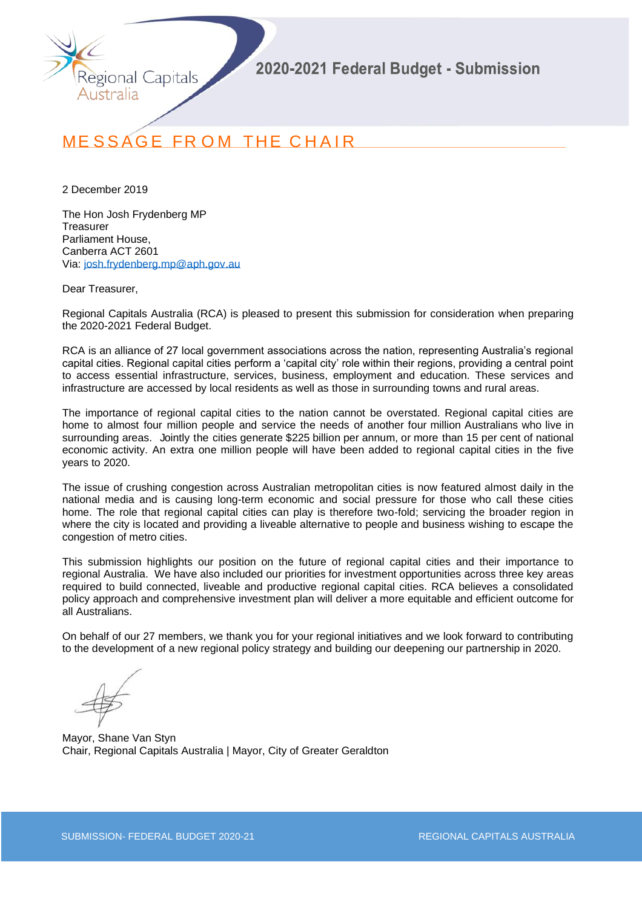

# **MESSAGE FROM THE CHAIR**

2 December 2019

The Hon Josh Frydenberg MP **Treasurer** Parliament House, Canberra ACT 2601 Via: [josh.frydenberg.mp@aph.gov.au](mailto:josh.frydenberg.mp@aph.gov.au)

Dear Treasurer,

Regional Capitals Australia (RCA) is pleased to present this submission for consideration when preparing the 2020-2021 Federal Budget.

RCA is an alliance of 27 local government associations across the nation, representing Australia's regional capital cities. Regional capital cities perform a 'capital city' role within their regions, providing a central point to access essential infrastructure, services, business, employment and education. These services and infrastructure are accessed by local residents as well as those in surrounding towns and rural areas.

The importance of regional capital cities to the nation cannot be overstated. Regional capital cities are home to almost four million people and service the needs of another four million Australians who live in surrounding areas. Jointly the cities generate \$225 billion per annum, or more than 15 per cent of national economic activity. An extra one million people will have been added to regional capital cities in the five years to 2020.

The issue of crushing congestion across Australian metropolitan cities is now featured almost daily in the national media and is causing long-term economic and social pressure for those who call these cities home. The role that regional capital cities can play is therefore two-fold; servicing the broader region in where the city is located and providing a liveable alternative to people and business wishing to escape the congestion of metro cities.

This submission highlights our position on the future of regional capital cities and their importance to regional Australia. We have also included our priorities for investment opportunities across three key areas required to build connected, liveable and productive regional capital cities. RCA believes a consolidated policy approach and comprehensive investment plan will deliver a more equitable and efficient outcome for all Australians.

On behalf of our 27 members, we thank you for your regional initiatives and we look forward to contributing to the development of a new regional policy strategy and building our deepening our partnership in 2020.

Mayor, Shane Van Styn Chair, Regional Capitals Australia | Mayor, City of Greater Geraldton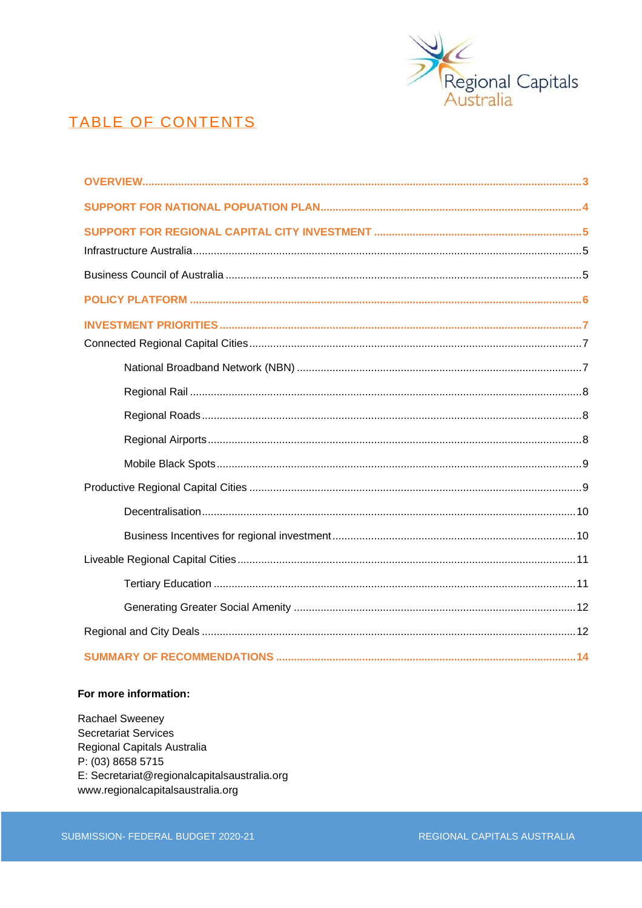

## **TABLE OF CONTENTS**

#### For more information:

Rachael Sweeney **Secretariat Services** Regional Capitals Australia P: (03) 8658 5715 E: Secretariat@regionalcapitalsaustralia.org www.regionalcapitalsaustralia.org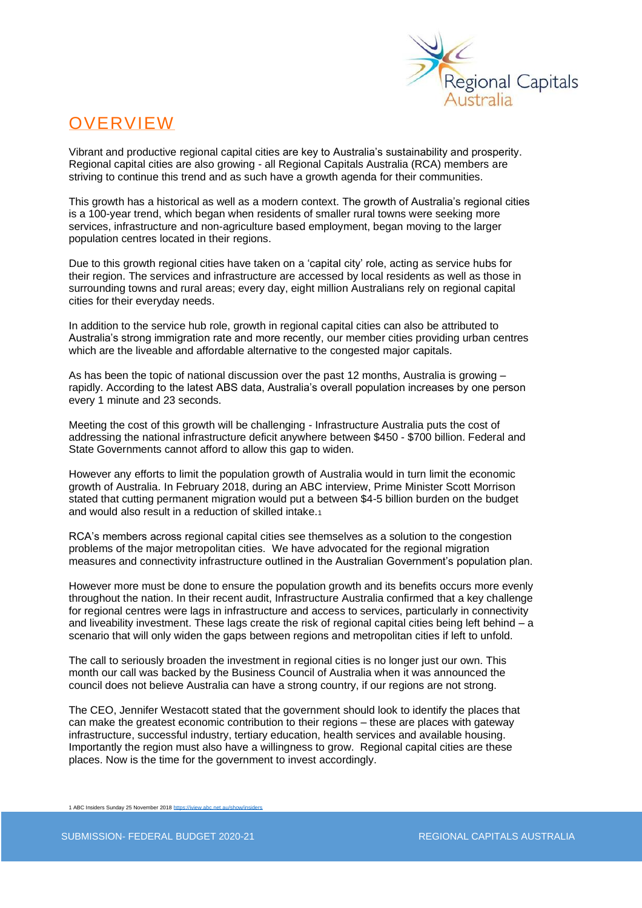

## **OVERVIEW**

Vibrant and productive regional capital cities are key to Australia's sustainability and prosperity. Regional capital cities are also growing - all Regional Capitals Australia (RCA) members are striving to continue this trend and as such have a growth agenda for their communities.

This growth has a historical as well as a modern context. The growth of Australia's regional cities is a 100-year trend, which began when residents of smaller rural towns were seeking more services, infrastructure and non-agriculture based employment, began moving to the larger population centres located in their regions.

Due to this growth regional cities have taken on a 'capital city' role, acting as service hubs for their region. The services and infrastructure are accessed by local residents as well as those in surrounding towns and rural areas; every day, eight million Australians rely on regional capital cities for their everyday needs.

In addition to the service hub role, growth in regional capital cities can also be attributed to Australia's strong immigration rate and more recently, our member cities providing urban centres which are the liveable and affordable alternative to the congested major capitals.

As has been the topic of national discussion over the past 12 months. Australia is growing – rapidly. According to the latest ABS data, Australia's overall population increases by one person every 1 minute and 23 seconds.

Meeting the cost of this growth will be challenging - Infrastructure Australia puts the cost of addressing the national infrastructure deficit anywhere between \$450 - \$700 billion. Federal and State Governments cannot afford to allow this gap to widen.

However any efforts to limit the population growth of Australia would in turn limit the economic growth of Australia. In February 2018, during an ABC interview, Prime Minister Scott Morrison stated that cutting permanent migration would put a between \$4-5 billion burden on the budget and would also result in a reduction of skilled intake.<sup>1</sup>

RCA's members across regional capital cities see themselves as a solution to the congestion problems of the major metropolitan cities. We have advocated for the regional migration measures and connectivity infrastructure outlined in the Australian Government's population plan.

However more must be done to ensure the population growth and its benefits occurs more evenly throughout the nation. In their recent audit, Infrastructure Australia confirmed that a key challenge for regional centres were lags in infrastructure and access to services, particularly in connectivity and liveability investment. These lags create the risk of regional capital cities being left behind – a scenario that will only widen the gaps between regions and metropolitan cities if left to unfold.

The call to seriously broaden the investment in regional cities is no longer just our own. This month our call was backed by the Business Council of Australia when it was announced the council does not believe Australia can have a strong country, if our regions are not strong.

The CEO, Jennifer Westacott stated that the government should look to identify the places that can make the greatest economic contribution to their regions – these are places with gateway infrastructure, successful industry, tertiary education, health services and available housing. Importantly the region must also have a willingness to grow. Regional capital cities are these places. Now is the time for the government to invest accordingly.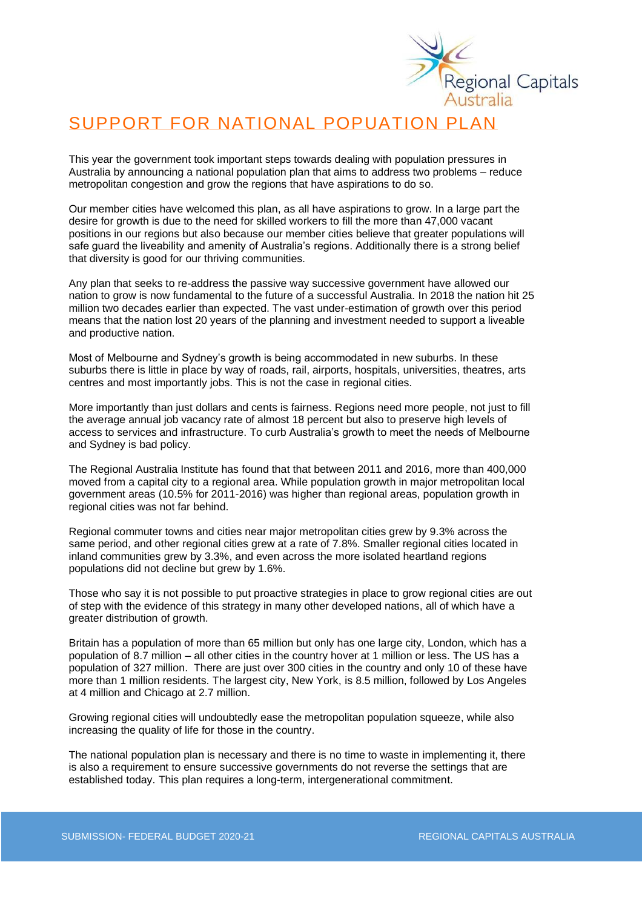

# SUPPORT FOR NATIONAL POPUATION PLAN

This year the government took important steps towards dealing with population pressures in Australia by announcing a national population plan that aims to address two problems – reduce metropolitan congestion and grow the regions that have aspirations to do so.

Our member cities have welcomed this plan, as all have aspirations to grow. In a large part the desire for growth is due to the need for skilled workers to fill the more than 47,000 vacant positions in our regions but also because our member cities believe that greater populations will safe guard the liveability and amenity of Australia's regions. Additionally there is a strong belief that diversity is good for our thriving communities.

Any plan that seeks to re-address the passive way successive government have allowed our nation to grow is now fundamental to the future of a successful Australia. In 2018 the nation hit 25 million two decades earlier than expected. The vast under-estimation of growth over this period means that the nation lost 20 years of the planning and investment needed to support a liveable and productive nation.

Most of Melbourne and Sydney's growth is being accommodated in new suburbs. In these suburbs there is little in place by way of roads, rail, airports, hospitals, universities, theatres, arts centres and most importantly jobs. This is not the case in regional cities.

More importantly than just dollars and cents is fairness. Regions need more people, not just to fill the average annual job vacancy rate of almost 18 percent but also to preserve high levels of access to services and infrastructure. To curb Australia's growth to meet the needs of Melbourne and Sydney is bad policy.

The Regional Australia Institute has found that that between 2011 and 2016, more than 400,000 moved from a capital city to a regional area. While population growth in major metropolitan local government areas (10.5% for 2011-2016) was higher than regional areas, population growth in regional cities was not far behind.

Regional commuter towns and cities near major metropolitan cities grew by 9.3% across the same period, and other regional cities grew at a rate of 7.8%. Smaller regional cities located in inland communities grew by 3.3%, and even across the more isolated heartland regions populations did not decline but grew by 1.6%.

Those who say it is not possible to put proactive strategies in place to grow regional cities are out of step with the evidence of this strategy in many other developed nations, all of which have a greater distribution of growth.

Britain has a population of more than 65 million but only has one large city, London, which has a population of 8.7 million – all other cities in the country hover at 1 million or less. The US has a population of 327 million. There are just over 300 cities in the country and only 10 of these have more than 1 million residents. The largest city, New York, is 8.5 million, followed by Los Angeles at 4 million and Chicago at 2.7 million.

Growing regional cities will undoubtedly ease the metropolitan population squeeze, while also increasing the quality of life for those in the country.

The national population plan is necessary and there is no time to waste in implementing it, there is also a requirement to ensure successive governments do not reverse the settings that are established today. This plan requires a long-term, intergenerational commitment.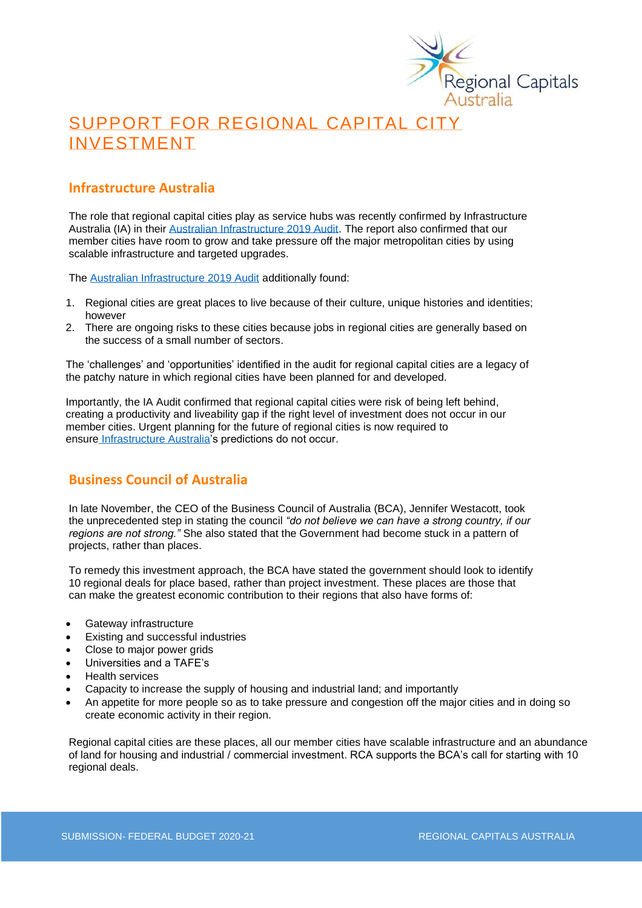

# SUPPORT FOR REGIONAL CAPITAL CITY INVESTMENT

### **Infrastructure Australia**

The role that regional capital cities play as service hubs was recently confirmed by Infrastructure Australia (IA) in their [Australian Infrastructure 2019 Audit.](https://www.infrastructureaustralia.gov.au/sites/default/files/2019-08/Australian%20Infrastructure%20Audit%202019.pdf) The report also confirmed that our member cities have room to grow and take pressure off the major metropolitan cities by using scalable infrastructure and targeted upgrades.

The [Australian Infrastructure 2019 Audit](https://www.infrastructureaustralia.gov.au/sites/default/files/2019-08/Australian%20Infrastructure%20Audit%202019.pdf) additionally found:

- 1. Regional cities are great places to live because of their culture, unique histories and identities; however
- 2. There are ongoing risks to these cities because jobs in regional cities are generally based on the success of a small number of sectors.

The 'challenges' and 'opportunities' identified in the audit for regional capital cities are a legacy of the patchy nature in which regional cities have been planned for and developed.

Importantly, the IA Audit confirmed that regional capital cities were risk of being left behind, creating a productivity and liveability gap if the right level of investment does not occur in our member cities. Urgent planning for the future of regional cities is now required to ensure [Infrastructure Australia'](http://infrastructureaustralia.gov.au/)s predictions do not occur.

### **Business Council of Australia**

In late November, the CEO of the Business Council of Australia (BCA), Jennifer Westacott, took the unprecedented step in stating the council *"do not believe we can have a strong country, if our regions are not strong."* She also stated that the Government had become stuck in a pattern of projects, rather than places.

To remedy this investment approach, the BCA have stated the government should look to identify 10 regional deals for place based, rather than project investment. These places are those that can make the greatest economic contribution to their regions that also have forms of:

- Gateway infrastructure
- Existing and successful industries
- Close to major power grids
- Universities and a TAFE's
- Health services
- Capacity to increase the supply of housing and industrial land; and importantly
- An appetite for more people so as to take pressure and congestion off the major cities and in doing so create economic activity in their region.

Regional capital cities are these places, all our member cities have scalable infrastructure and an abundance of land for housing and industrial / commercial investment. RCA supports the BCA's call for starting with 10 regional deals.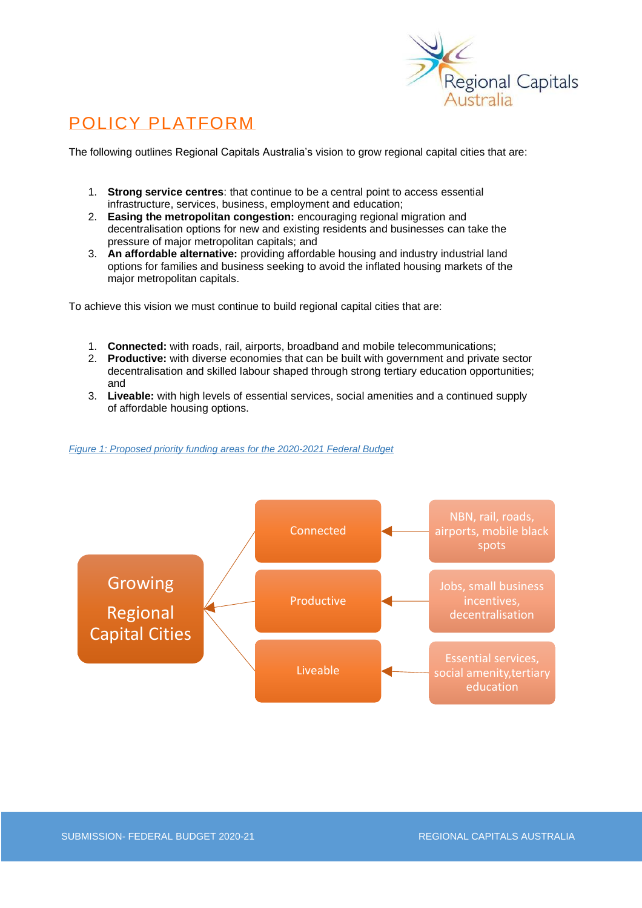

# POLICY PLATFORM

The following outlines Regional Capitals Australia's vision to grow regional capital cities that are:

- 1. **Strong service centres**: that continue to be a central point to access essential infrastructure, services, business, employment and education;
- 2. **Easing the metropolitan congestion:** encouraging regional migration and decentralisation options for new and existing residents and businesses can take the pressure of major metropolitan capitals; and
- 3. **An affordable alternative:** providing affordable housing and industry industrial land options for families and business seeking to avoid the inflated housing markets of the major metropolitan capitals.

To achieve this vision we must continue to build regional capital cities that are:

- 1. **Connected:** with roads, rail, airports, broadband and mobile telecommunications;
- 2. **Productive:** with diverse economies that can be built with government and private sector decentralisation and skilled labour shaped through strong tertiary education opportunities; and
- 3. **Liveable:** with high levels of essential services, social amenities and a continued supply of affordable housing options.

#### *Figure 1: Proposed priority funding areas for the 2020-2021 Federal Budget*

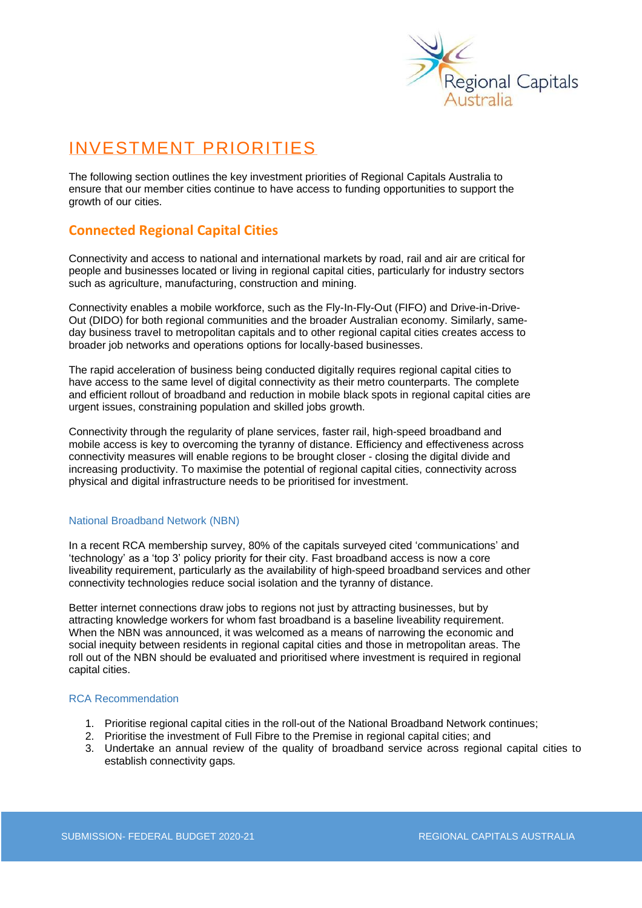

## INVESTMENT PRIORITIES

The following section outlines the key investment priorities of Regional Capitals Australia to ensure that our member cities continue to have access to funding opportunities to support the growth of our cities.

### **Connected Regional Capital Cities**

Connectivity and access to national and international markets by road, rail and air are critical for people and businesses located or living in regional capital cities, particularly for industry sectors such as agriculture, manufacturing, construction and mining.

Connectivity enables a mobile workforce, such as the Fly-In-Fly-Out (FIFO) and Drive-in-Drive-Out (DIDO) for both regional communities and the broader Australian economy. Similarly, sameday business travel to metropolitan capitals and to other regional capital cities creates access to broader job networks and operations options for locally-based businesses.

The rapid acceleration of business being conducted digitally requires regional capital cities to have access to the same level of digital connectivity as their metro counterparts. The complete and efficient rollout of broadband and reduction in mobile black spots in regional capital cities are urgent issues, constraining population and skilled jobs growth.

Connectivity through the regularity of plane services, faster rail, high-speed broadband and mobile access is key to overcoming the tyranny of distance. Efficiency and effectiveness across connectivity measures will enable regions to be brought closer - closing the digital divide and increasing productivity. To maximise the potential of regional capital cities, connectivity across physical and digital infrastructure needs to be prioritised for investment.

#### National Broadband Network (NBN)

In a recent RCA membership survey, 80% of the capitals surveyed cited 'communications' and 'technology' as a 'top 3' policy priority for their city. Fast broadband access is now a core liveability requirement, particularly as the availability of high-speed broadband services and other connectivity technologies reduce social isolation and the tyranny of distance.

Better internet connections draw jobs to regions not just by attracting businesses, but by attracting knowledge workers for whom fast broadband is a baseline liveability requirement. When the NBN was announced, it was welcomed as a means of narrowing the economic and social inequity between residents in regional capital cities and those in metropolitan areas. The roll out of the NBN should be evaluated and prioritised where investment is required in regional capital cities.

#### RCA Recommendation

- 1. Prioritise regional capital cities in the roll-out of the National Broadband Network continues;
- 2. Prioritise the investment of Full Fibre to the Premise in regional capital cities; and
- 3. Undertake an annual review of the quality of broadband service across regional capital cities to establish connectivity gaps*.*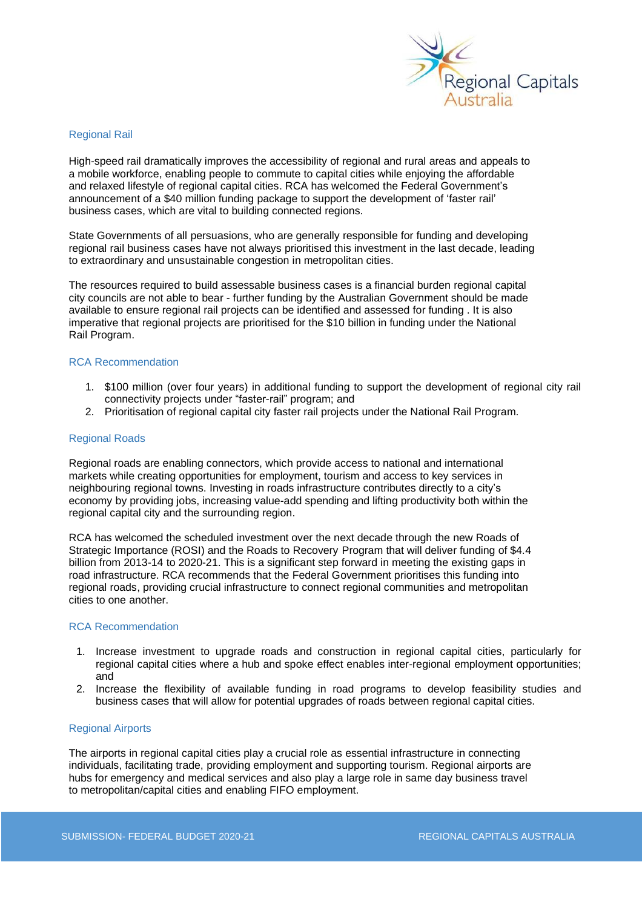

#### Regional Rail

High-speed rail dramatically improves the accessibility of regional and rural areas and appeals to a mobile workforce, enabling people to commute to capital cities while enjoying the affordable and relaxed lifestyle of regional capital cities. RCA has welcomed the Federal Government's announcement of a \$40 million funding package to support the development of 'faster rail' business cases, which are vital to building connected regions.

State Governments of all persuasions, who are generally responsible for funding and developing regional rail business cases have not always prioritised this investment in the last decade, leading to extraordinary and unsustainable congestion in metropolitan cities.

The resources required to build assessable business cases is a financial burden regional capital city councils are not able to bear - further funding by the Australian Government should be made available to ensure regional rail projects can be identified and assessed for funding . It is also imperative that regional projects are prioritised for the \$10 billion in funding under the National Rail Program.

#### RCA Recommendation

- 1. \$100 million (over four years) in additional funding to support the development of regional city rail connectivity projects under "faster-rail" program; and
- 2. Prioritisation of regional capital city faster rail projects under the National Rail Program.

#### Regional Roads

Regional roads are enabling connectors, which provide access to national and international markets while creating opportunities for employment, tourism and access to key services in neighbouring regional towns. Investing in roads infrastructure contributes directly to a city's economy by providing jobs, increasing value-add spending and lifting productivity both within the regional capital city and the surrounding region.

RCA has welcomed the scheduled investment over the next decade through the new Roads of Strategic Importance (ROSI) and the Roads to Recovery Program that will deliver funding of \$4.4 billion from 2013-14 to 2020-21. This is a significant step forward in meeting the existing gaps in road infrastructure. RCA recommends that the Federal Government prioritises this funding into regional roads, providing crucial infrastructure to connect regional communities and metropolitan cities to one another.

#### RCA Recommendation

- 1. Increase investment to upgrade roads and construction in regional capital cities, particularly for regional capital cities where a hub and spoke effect enables inter-regional employment opportunities; and
- 2. Increase the flexibility of available funding in road programs to develop feasibility studies and business cases that will allow for potential upgrades of roads between regional capital cities.

#### Regional Airports

The airports in regional capital cities play a crucial role as essential infrastructure in connecting individuals, facilitating trade, providing employment and supporting tourism. Regional airports are hubs for emergency and medical services and also play a large role in same day business travel to metropolitan/capital cities and enabling FIFO employment.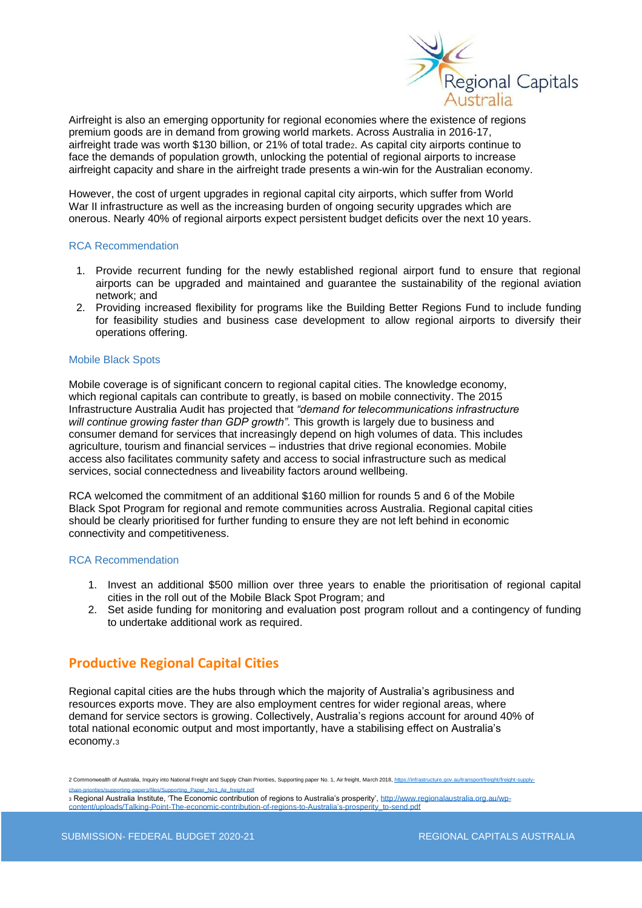

Airfreight is also an emerging opportunity for regional economies where the existence of regions premium goods are in demand from growing world markets. Across Australia in 2016-17, airfreight trade was worth \$130 billion, or 21% of total trade2. As capital city airports continue to face the demands of population growth, unlocking the potential of regional airports to increase airfreight capacity and share in the airfreight trade presents a win-win for the Australian economy.

However, the cost of urgent upgrades in regional capital city airports, which suffer from World War II infrastructure as well as the increasing burden of ongoing security upgrades which are onerous. Nearly 40% of regional airports expect persistent budget deficits over the next 10 years.

#### RCA Recommendation

- 1. Provide recurrent funding for the newly established regional airport fund to ensure that regional airports can be upgraded and maintained and guarantee the sustainability of the regional aviation network; and
- 2. Providing increased flexibility for programs like the Building Better Regions Fund to include funding for feasibility studies and business case development to allow regional airports to diversify their operations offering.

#### Mobile Black Spots

Mobile coverage is of significant concern to regional capital cities. The knowledge economy, which regional capitals can contribute to greatly, is based on mobile connectivity. The 2015 Infrastructure Australia Audit has projected that *"demand for telecommunications infrastructure*  will continue growing faster than GDP growth". This growth is largely due to business and consumer demand for services that increasingly depend on high volumes of data. This includes agriculture, tourism and financial services – industries that drive regional economies. Mobile access also facilitates community safety and access to social infrastructure such as medical services, social connectedness and liveability factors around wellbeing.

RCA welcomed the commitment of an additional \$160 million for rounds 5 and 6 of the Mobile Black Spot Program for regional and remote communities across Australia. Regional capital cities should be clearly prioritised for further funding to ensure they are not left behind in economic connectivity and competitiveness.

#### RCA Recommendation

- 1. Invest an additional \$500 million over three years to enable the prioritisation of regional capital cities in the roll out of the Mobile Black Spot Program; and
- 2. Set aside funding for monitoring and evaluation post program rollout and a contingency of funding to undertake additional work as required.

### **Productive Regional Capital Cities**

Regional capital cities are the hubs through which the majority of Australia's agribusiness and resources exports move. They are also employment centres for wider regional areas, where demand for service sectors is growing. Collectively, Australia's regions account for around 40% of total national economic output and most importantly, have a stabilising effect on Australia's economy.<sup>3</sup>

2 Commonwealth of Australia, Inquiry into National Freight and Supply Chain Priorities, Supporting paper No. 1, Air freight, March 2018, https [chain-priorities/supporting-papers/files/Supporting\\_Paper\\_No1\\_Air\\_freight.pdf](https://infrastructure.gov.au/transport/freight/freight-supply-chain-priorities/supporting-papers/files/Supporting_Paper_No1_Air_freight.pdf)

3 Regional Australia Institute, 'The Economic contribution of regions to Australia's prosperity'[, http://www.regionalaustralia.org.au/wp](http://www.regionalaustralia.org.au/wp-content/uploads/Talking-Point-The-economic-contribution-of-regions-to-Australia)[content/uploads/Talking-Point-The-economic-contribution-of-regions-to-Australia's-prosperity\\_to-send.pdf](http://www.regionalaustralia.org.au/wp-content/uploads/Talking-Point-The-economic-contribution-of-regions-to-Australia)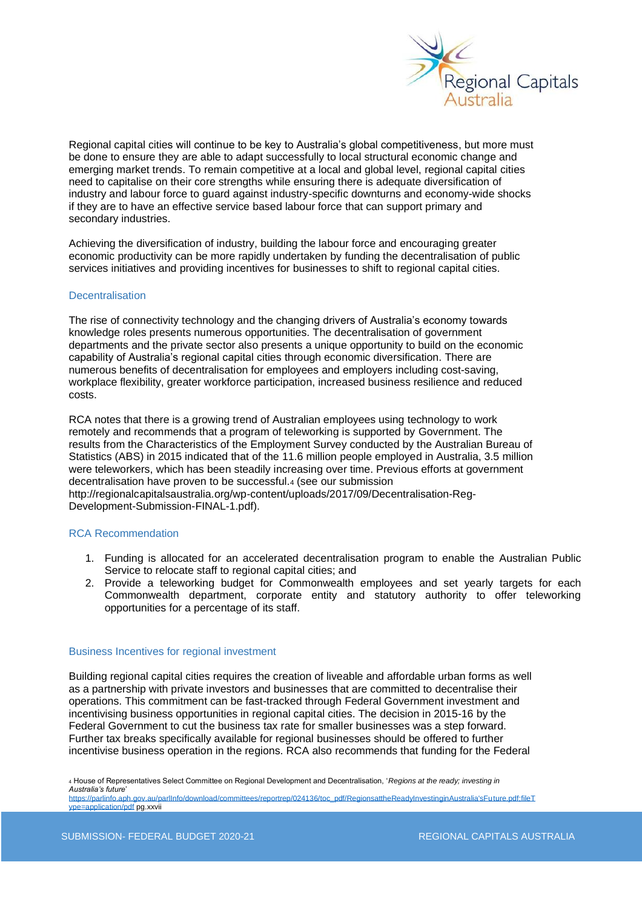

Regional capital cities will continue to be key to Australia's global competitiveness, but more must be done to ensure they are able to adapt successfully to local structural economic change and emerging market trends. To remain competitive at a local and global level, regional capital cities need to capitalise on their core strengths while ensuring there is adequate diversification of industry and labour force to guard against industry-specific downturns and economy-wide shocks if they are to have an effective service based labour force that can support primary and secondary industries.

Achieving the diversification of industry, building the labour force and encouraging greater economic productivity can be more rapidly undertaken by funding the decentralisation of public services initiatives and providing incentives for businesses to shift to regional capital cities.

#### **Decentralisation**

The rise of connectivity technology and the changing drivers of Australia's economy towards knowledge roles presents numerous opportunities. The decentralisation of government departments and the private sector also presents a unique opportunity to build on the economic capability of Australia's regional capital cities through economic diversification. There are numerous benefits of decentralisation for employees and employers including cost-saving, workplace flexibility, greater workforce participation, increased business resilience and reduced costs.

RCA notes that there is a growing trend of Australian employees using technology to work remotely and recommends that a program of teleworking is supported by Government. The results from the Characteristics of the Employment Survey conducted by the Australian Bureau of Statistics (ABS) in 2015 indicated that of the 11.6 million people employed in Australia, 3.5 million were teleworkers, which has been steadily increasing over time. Previous efforts at government decentralisation have proven to be successful.<sup>4</sup> (see our submission http://regionalcapitalsaustralia.org/wp-content/uploads/2017/09/Decentralisation-Reg-Development-Submission-FINAL-1.pdf).

#### RCA Recommendation

- 1. Funding is allocated for an accelerated decentralisation program to enable the Australian Public Service to relocate staff to regional capital cities; and
- 2. Provide a teleworking budget for Commonwealth employees and set yearly targets for each Commonwealth department, corporate entity and statutory authority to offer teleworking opportunities for a percentage of its staff.

#### Business Incentives for regional investment

Building regional capital cities requires the creation of liveable and affordable urban forms as well as a partnership with private investors and businesses that are committed to decentralise their operations. This commitment can be fast-tracked through Federal Government investment and incentivising business opportunities in regional capital cities. The decision in 2015-16 by the Federal Government to cut the business tax rate for smaller businesses was a step forward. Further tax breaks specifically available for regional businesses should be offered to further incentivise business operation in the regions. RCA also recommends that funding for the Federal

<sup>4</sup> House of Representatives Select Committee on Regional Development and Decentralisation, '*Regions at the ready; investing in Australia's future*'

[https://parlinfo.aph.gov.au/parlInfo/download/committees/reportrep/024136/toc\\_pdf/RegionsattheReadyInvestinginAustralia'sFuture.pdf;fileT](https://parlinfo.aph.gov.au/parlInfo/download/committees/reportrep/024136/toc_pdf/RegionsattheReadyInvestinginAustralia) [ype=application/pdf](https://parlinfo.aph.gov.au/parlInfo/download/committees/reportrep/024136/toc_pdf/RegionsattheReadyInvestinginAustralia) pg.xxvii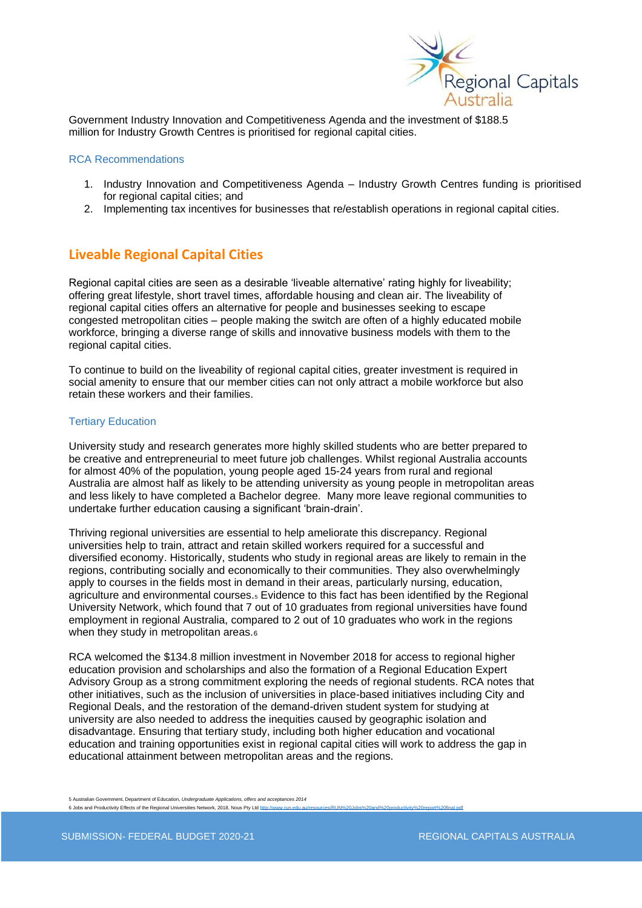

Government Industry Innovation and Competitiveness Agenda and the investment of \$188.5 million for Industry Growth Centres is prioritised for regional capital cities.

#### RCA Recommendations

- 1. Industry Innovation and Competitiveness Agenda Industry Growth Centres funding is prioritised for regional capital cities; and
- 2. Implementing tax incentives for businesses that re/establish operations in regional capital cities.

### **Liveable Regional Capital Cities**

Regional capital cities are seen as a desirable 'liveable alternative' rating highly for liveability; offering great lifestyle, short travel times, affordable housing and clean air. The liveability of regional capital cities offers an alternative for people and businesses seeking to escape congested metropolitan cities – people making the switch are often of a highly educated mobile workforce, bringing a diverse range of skills and innovative business models with them to the regional capital cities.

To continue to build on the liveability of regional capital cities, greater investment is required in social amenity to ensure that our member cities can not only attract a mobile workforce but also retain these workers and their families.

#### Tertiary Education

University study and research generates more highly skilled students who are better prepared to be creative and entrepreneurial to meet future job challenges. Whilst regional Australia accounts for almost 40% of the population, young people aged 15-24 years from rural and regional Australia are almost half as likely to be attending university as young people in metropolitan areas and less likely to have completed a Bachelor degree. Many more leave regional communities to undertake further education causing a significant 'brain-drain'.

Thriving regional universities are essential to help ameliorate this discrepancy. Regional universities help to train, attract and retain skilled workers required for a successful and diversified economy. Historically, students who study in regional areas are likely to remain in the regions, contributing socially and economically to their communities. They also overwhelmingly apply to courses in the fields most in demand in their areas, particularly nursing, education, agriculture and environmental courses.<sub>5</sub> Evidence to this fact has been identified by the Regional University Network, which found that 7 out of 10 graduates from regional universities have found employment in regional Australia, compared to 2 out of 10 graduates who work in the regions when they study in metropolitan areas.<sup>6</sup>

RCA welcomed the \$134.8 million investment in November 2018 for access to regional higher education provision and scholarships and also the formation of a Regional Education Expert Advisory Group as a strong commitment exploring the needs of regional students. RCA notes that other initiatives, such as the inclusion of universities in place-based initiatives including City and Regional Deals, and the restoration of the demand-driven student system for studying at university are also needed to address the inequities caused by geographic isolation and disadvantage. Ensuring that tertiary study, including both higher education and vocational education and training opportunities exist in regional capital cities will work to address the gap in educational attainment between metropolitan areas and the regions.

5 Australian Government, Department of Education, *Undergraduate Applications, offers and acceptances 2014* 6 Jobs and Productivity Effects of the Regional Universities Network, 2018, Nous Pty Ltd http://ww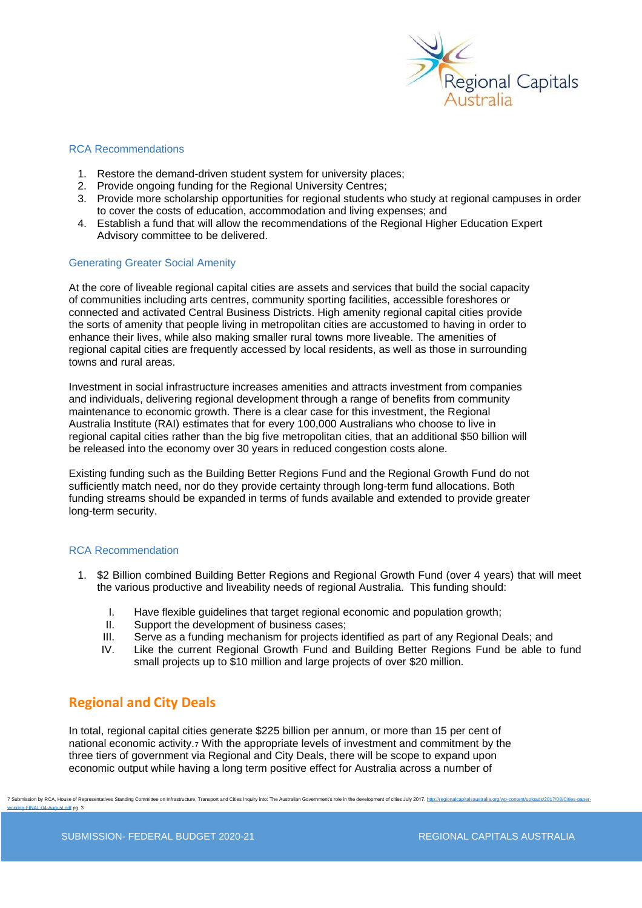

#### RCA Recommendations

- 1. Restore the demand-driven student system for university places;
- 2. Provide ongoing funding for the Regional University Centres;
- 3. Provide more scholarship opportunities for regional students who study at regional campuses in order to cover the costs of education, accommodation and living expenses; and
- 4. Establish a fund that will allow the recommendations of the Regional Higher Education Expert Advisory committee to be delivered.

#### Generating Greater Social Amenity

At the core of liveable regional capital cities are assets and services that build the social capacity of communities including arts centres, community sporting facilities, accessible foreshores or connected and activated Central Business Districts. High amenity regional capital cities provide the sorts of amenity that people living in metropolitan cities are accustomed to having in order to enhance their lives, while also making smaller rural towns more liveable. The amenities of regional capital cities are frequently accessed by local residents, as well as those in surrounding towns and rural areas.

Investment in social infrastructure increases amenities and attracts investment from companies and individuals, delivering regional development through a range of benefits from community maintenance to economic growth. There is a clear case for this investment, the Regional Australia Institute (RAI) estimates that for every 100,000 Australians who choose to live in regional capital cities rather than the big five metropolitan cities, that an additional \$50 billion will be released into the economy over 30 years in reduced congestion costs alone.

Existing funding such as the Building Better Regions Fund and the Regional Growth Fund do not sufficiently match need, nor do they provide certainty through long-term fund allocations. Both funding streams should be expanded in terms of funds available and extended to provide greater long-term security.

#### RCA Recommendation

- 1. \$2 Billion combined Building Better Regions and Regional Growth Fund (over 4 years) that will meet the various productive and liveability needs of regional Australia. This funding should:
	- I. Have flexible guidelines that target regional economic and population growth;
	- II. Support the development of business cases;
	- III. Serve as a funding mechanism for projects identified as part of any Regional Deals; and
	- IV. Like the current Regional Growth Fund and Building Better Regions Fund be able to fund small projects up to \$10 million and large projects of over \$20 million.

### **Regional and City Deals**

In total, regional capital cities generate \$225 billion per annum, or more than 15 per cent of national economic activity.<sup>7</sup> With the appropriate levels of investment and commitment by the three tiers of government via Regional and City Deals, there will be scope to expand upon economic output while having a long term positive effect for Australia across a number of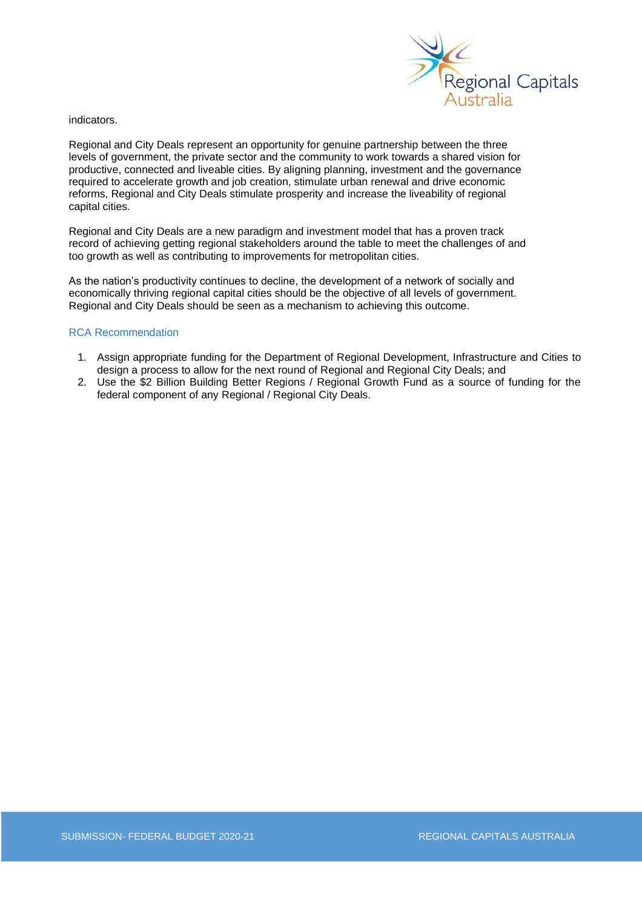

indicators.

Regional and City Deals represent an opportunity for genuine partnership between the three levels of government, the private sector and the community to work towards a shared vision for productive, connected and liveable cities. By aligning planning, investment and the governance required to accelerate growth and job creation, stimulate urban renewal and drive economic reforms, Regional and City Deals stimulate prosperity and increase the liveability of regional capital cities.

Regional and City Deals are a new paradigm and investment model that has a proven track record of achieving getting regional stakeholders around the table to meet the challenges of and too growth as well as contributing to improvements for metropolitan cities.

As the nation's productivity continues to decline, the development of a network of socially and economically thriving regional capital cities should be the objective of all levels of government. Regional and City Deals should be seen as a mechanism to achieving this outcome.

#### RCA Recommendation

- 1. Assign appropriate funding for the Department of Regional Development, Infrastructure and Cities to design a process to allow for the next round of Regional and Regional City Deals; and
- 2. Use the \$2 Billion Building Better Regions / Regional Growth Fund as a source of funding for the federal component of any Regional / Regional City Deals.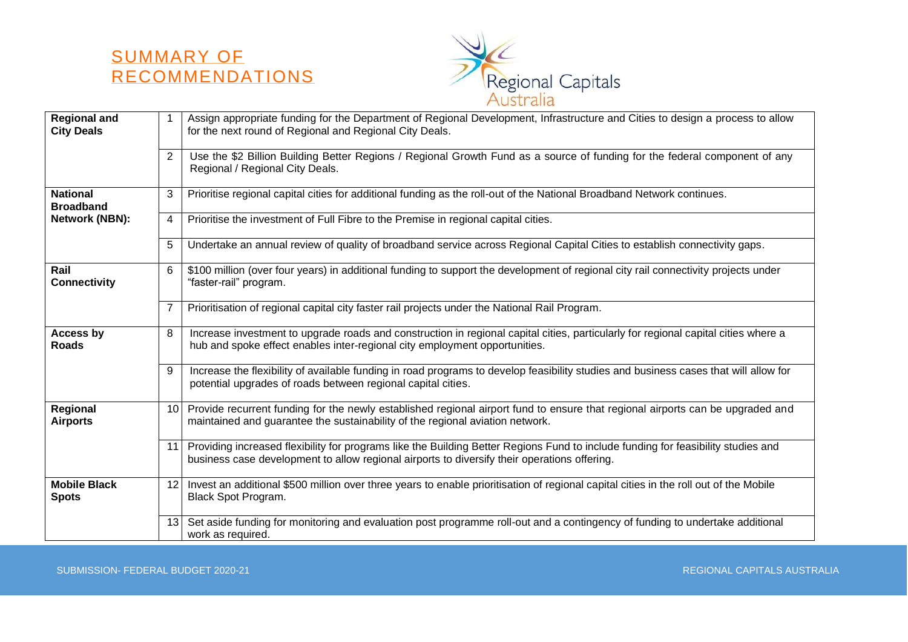



| <b>Regional and</b><br><b>City Deals</b> | $\mathbf{1}$    | Assign appropriate funding for the Department of Regional Development, Infrastructure and Cities to design a process to allow<br>for the next round of Regional and Regional City Deals.                                          |
|------------------------------------------|-----------------|-----------------------------------------------------------------------------------------------------------------------------------------------------------------------------------------------------------------------------------|
|                                          | $\overline{2}$  | Use the \$2 Billion Building Better Regions / Regional Growth Fund as a source of funding for the federal component of any<br>Regional / Regional City Deals.                                                                     |
| <b>National</b><br><b>Broadband</b>      | 3               | Prioritise regional capital cities for additional funding as the roll-out of the National Broadband Network continues.                                                                                                            |
| <b>Network (NBN):</b>                    | 4               | Prioritise the investment of Full Fibre to the Premise in regional capital cities.                                                                                                                                                |
|                                          | 5               | Undertake an annual review of quality of broadband service across Regional Capital Cities to establish connectivity gaps.                                                                                                         |
| Rail<br><b>Connectivity</b>              | 6               | \$100 million (over four years) in additional funding to support the development of regional city rail connectivity projects under<br>"faster-rail" program.                                                                      |
|                                          | $\overline{7}$  | Prioritisation of regional capital city faster rail projects under the National Rail Program.                                                                                                                                     |
| Access by<br><b>Roads</b>                | 8               | Increase investment to upgrade roads and construction in regional capital cities, particularly for regional capital cities where a<br>hub and spoke effect enables inter-regional city employment opportunities.                  |
|                                          | 9               | Increase the flexibility of available funding in road programs to develop feasibility studies and business cases that will allow for<br>potential upgrades of roads between regional capital cities.                              |
| Regional<br><b>Airports</b>              | 10 <sup>°</sup> | Provide recurrent funding for the newly established regional airport fund to ensure that regional airports can be upgraded and<br>maintained and guarantee the sustainability of the regional aviation network.                   |
|                                          | 11              | Providing increased flexibility for programs like the Building Better Regions Fund to include funding for feasibility studies and<br>business case development to allow regional airports to diversify their operations offering. |
| <b>Mobile Black</b><br><b>Spots</b>      | 12 <sup>°</sup> | Invest an additional \$500 million over three years to enable prioritisation of regional capital cities in the roll out of the Mobile<br>Black Spot Program.                                                                      |
|                                          | 13              | Set aside funding for monitoring and evaluation post programme roll-out and a contingency of funding to undertake additional<br>work as required.                                                                                 |